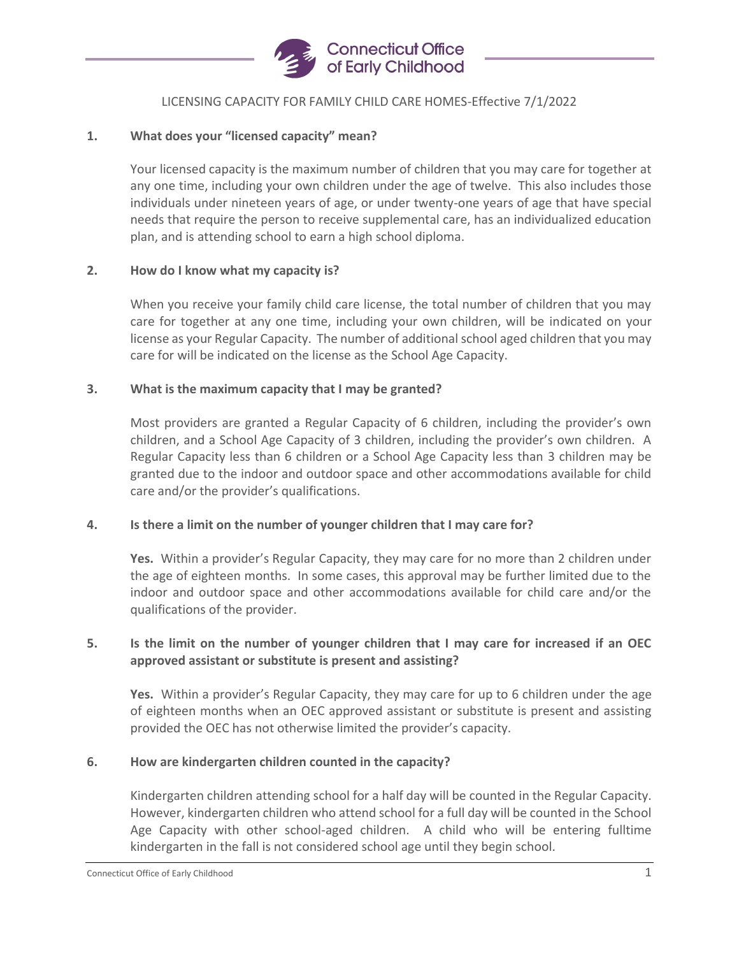

### LICENSING CAPACITY FOR FAMILY CHILD CARE HOMES-Effective 7/1/2022

### **1. What does your "licensed capacity" mean?**

Your licensed capacity is the maximum number of children that you may care for together at any one time, including your own children under the age of twelve. This also includes those individuals under nineteen years of age, or under twenty-one years of age that have special needs that require the person to receive supplemental care, has an individualized education plan, and is attending school to earn a high school diploma.

### **2. How do I know what my capacity is?**

When you receive your family child care license, the total number of children that you may care for together at any one time, including your own children, will be indicated on your license as your Regular Capacity. The number of additional school aged children that you may care for will be indicated on the license as the School Age Capacity.

### **3. What is the maximum capacity that I may be granted?**

Most providers are granted a Regular Capacity of 6 children, including the provider's own children, and a School Age Capacity of 3 children, including the provider's own children. A Regular Capacity less than 6 children or a School Age Capacity less than 3 children may be granted due to the indoor and outdoor space and other accommodations available for child care and/or the provider's qualifications.

### **4. Is there a limit on the number of younger children that I may care for?**

**Yes.** Within a provider's Regular Capacity, they may care for no more than 2 children under the age of eighteen months. In some cases, this approval may be further limited due to the indoor and outdoor space and other accommodations available for child care and/or the qualifications of the provider.

## **5. Is the limit on the number of younger children that I may care for increased if an OEC approved assistant or substitute is present and assisting?**

**Yes.** Within a provider's Regular Capacity, they may care for up to 6 children under the age of eighteen months when an OEC approved assistant or substitute is present and assisting provided the OEC has not otherwise limited the provider's capacity.

### **6. How are kindergarten children counted in the capacity?**

Kindergarten children attending school for a half day will be counted in the Regular Capacity. However, kindergarten children who attend school for a full day will be counted in the School Age Capacity with other school-aged children. A child who will be entering fulltime kindergarten in the fall is not considered school age until they begin school.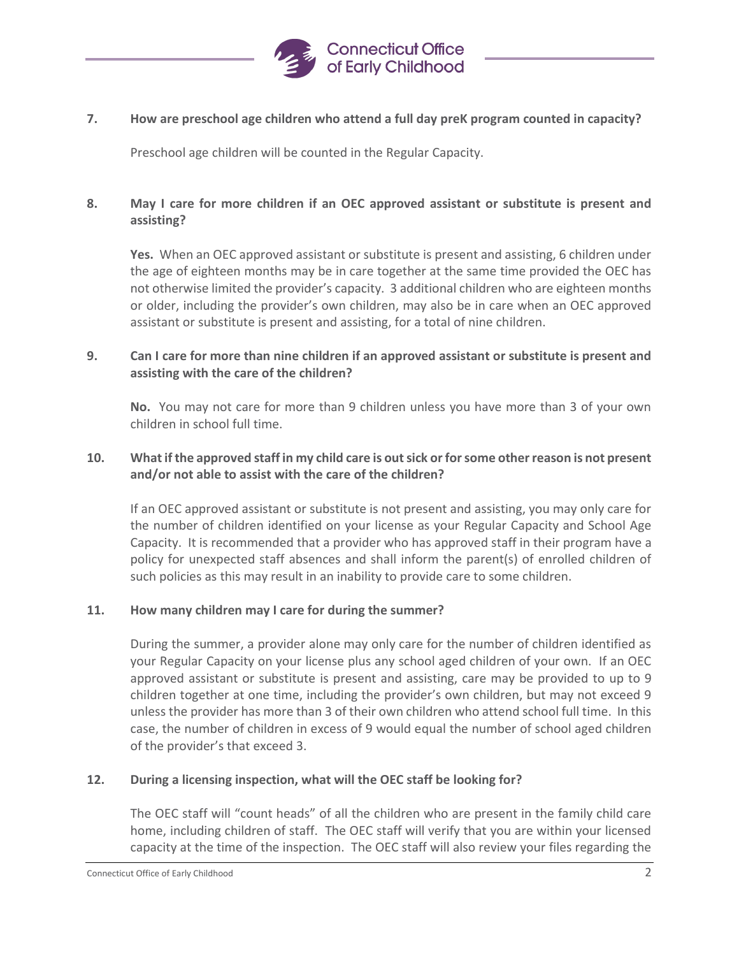

### **7. How are preschool age children who attend a full day preK program counted in capacity?**

Preschool age children will be counted in the Regular Capacity.

# **8. May I care for more children if an OEC approved assistant or substitute is present and assisting?**

**Yes.** When an OEC approved assistant or substitute is present and assisting, 6 children under the age of eighteen months may be in care together at the same time provided the OEC has not otherwise limited the provider's capacity. 3 additional children who are eighteen months or older, including the provider's own children, may also be in care when an OEC approved assistant or substitute is present and assisting, for a total of nine children.

# **9. Can I care for more than nine children if an approved assistant or substitute is present and assisting with the care of the children?**

**No.** You may not care for more than 9 children unless you have more than 3 of your own children in school full time.

### **10. What if the approved staff in my child care is out sick or for some other reason is not present and/or not able to assist with the care of the children?**

If an OEC approved assistant or substitute is not present and assisting, you may only care for the number of children identified on your license as your Regular Capacity and School Age Capacity. It is recommended that a provider who has approved staff in their program have a policy for unexpected staff absences and shall inform the parent(s) of enrolled children of such policies as this may result in an inability to provide care to some children.

### **11. How many children may I care for during the summer?**

During the summer, a provider alone may only care for the number of children identified as your Regular Capacity on your license plus any school aged children of your own. If an OEC approved assistant or substitute is present and assisting, care may be provided to up to 9 children together at one time, including the provider's own children, but may not exceed 9 unless the provider has more than 3 of their own children who attend school full time. In this case, the number of children in excess of 9 would equal the number of school aged children of the provider's that exceed 3.

### **12. During a licensing inspection, what will the OEC staff be looking for?**

The OEC staff will "count heads" of all the children who are present in the family child care home, including children of staff. The OEC staff will verify that you are within your licensed capacity at the time of the inspection. The OEC staff will also review your files regarding the